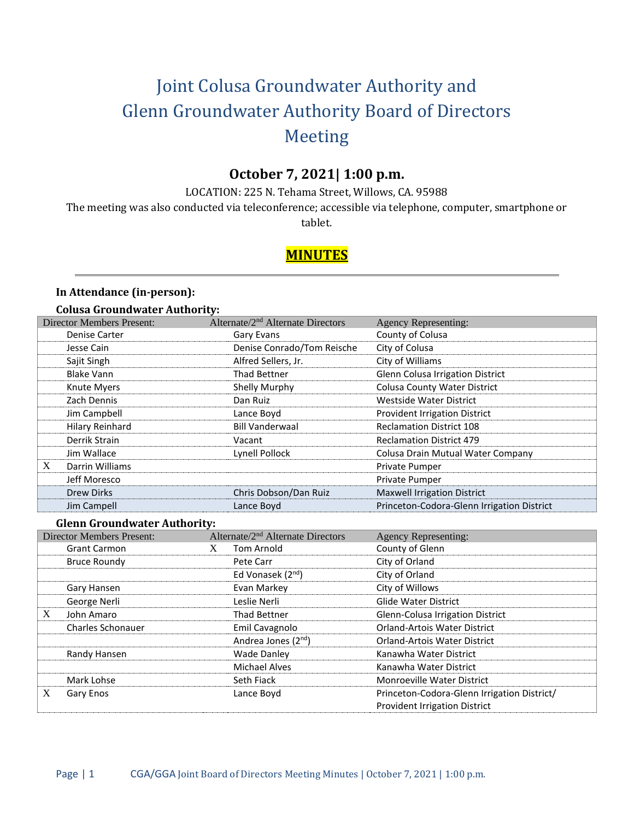# Joint Colusa Groundwater Authority and Glenn Groundwater Authority Board of Directors Meeting

# **October 7, 2021| 1:00 p.m.**

LOCATION: 225 N. Tehama Street, Willows, CA. 95988

The meeting was also conducted via teleconference; accessible via telephone, computer, smartphone or

tablet.

# **MINUTES**

## **In Attendance (in-person):**

#### **Colusa Groundwater Authority:**

| <b>Director Members Present:</b> | Alternate/2 <sup>nd</sup> Alternate Directors | <b>Agency Representing:</b>                |
|----------------------------------|-----------------------------------------------|--------------------------------------------|
| Denise Carter                    | Gary Evans                                    | County of Colusa                           |
| Jesse Cain                       | Denise Conrado/Tom Reische                    | City of Colusa                             |
| Sajit Singh                      | Alfred Sellers, Jr.                           | City of Williams                           |
| <b>Blake Vann</b>                | <b>Thad Bettner</b>                           | Glenn Colusa Irrigation District           |
| Knute Myers                      | Shelly Murphy                                 | <b>Colusa County Water District</b>        |
| Zach Dennis                      | Dan Ruiz                                      | <b>Westside Water District</b>             |
| Jim Campbell                     | Lance Boyd                                    | <b>Provident Irrigation District</b>       |
| Hilary Reinhard                  | <b>Bill Vanderwaal</b>                        | <b>Reclamation District 108</b>            |
| Derrik Strain                    | Vacant                                        | <b>Reclamation District 479</b>            |
| Jim Wallace                      | Lynell Pollock                                | Colusa Drain Mutual Water Company          |
| X<br>Darrin Williams             |                                               | Private Pumper                             |
| Jeff Moresco                     |                                               | Private Pumper                             |
| <b>Drew Dirks</b>                | Chris Dobson/Dan Ruiz                         | <b>Maxwell Irrigation District</b>         |
| Jim Campell                      | Lance Boyd                                    | Princeton-Codora-Glenn Irrigation District |

#### **Glenn Groundwater Authority:**

| <b>Director Members Present:</b> | Alternate/2 <sup>nd</sup> Alternate Directors | <b>Agency Representing:</b>                 |
|----------------------------------|-----------------------------------------------|---------------------------------------------|
| <b>Grant Carmon</b>              | <b>Tom Arnold</b><br>X                        | County of Glenn                             |
| Bruce Roundy                     | Pete Carr                                     | City of Orland                              |
|                                  | Ed Vonasek (2 <sup>nd</sup> )                 | City of Orland                              |
| Gary Hansen                      | Evan Markey                                   | City of Willows                             |
| George Nerli                     | Leslie Nerli                                  | <b>Glide Water District</b>                 |
| X<br>John Amaro                  | Thad Bettner                                  | Glenn-Colusa Irrigation District            |
| <b>Charles Schonauer</b>         | Emil Cavagnolo                                | <b>Orland-Artois Water District</b>         |
|                                  | Andrea Jones (2 <sup>nd</sup> )               | <b>Orland-Artois Water District</b>         |
| Randy Hansen                     | <b>Wade Danley</b>                            | Kanawha Water District                      |
|                                  | <b>Michael Alves</b>                          | Kanawha Water District                      |
| Mark Lohse                       | Seth Fiack                                    | <b>Monroeville Water District</b>           |
| X<br>Gary Enos                   | Lance Boyd                                    | Princeton-Codora-Glenn Irrigation District/ |
|                                  |                                               | <b>Provident Irrigation District</b>        |